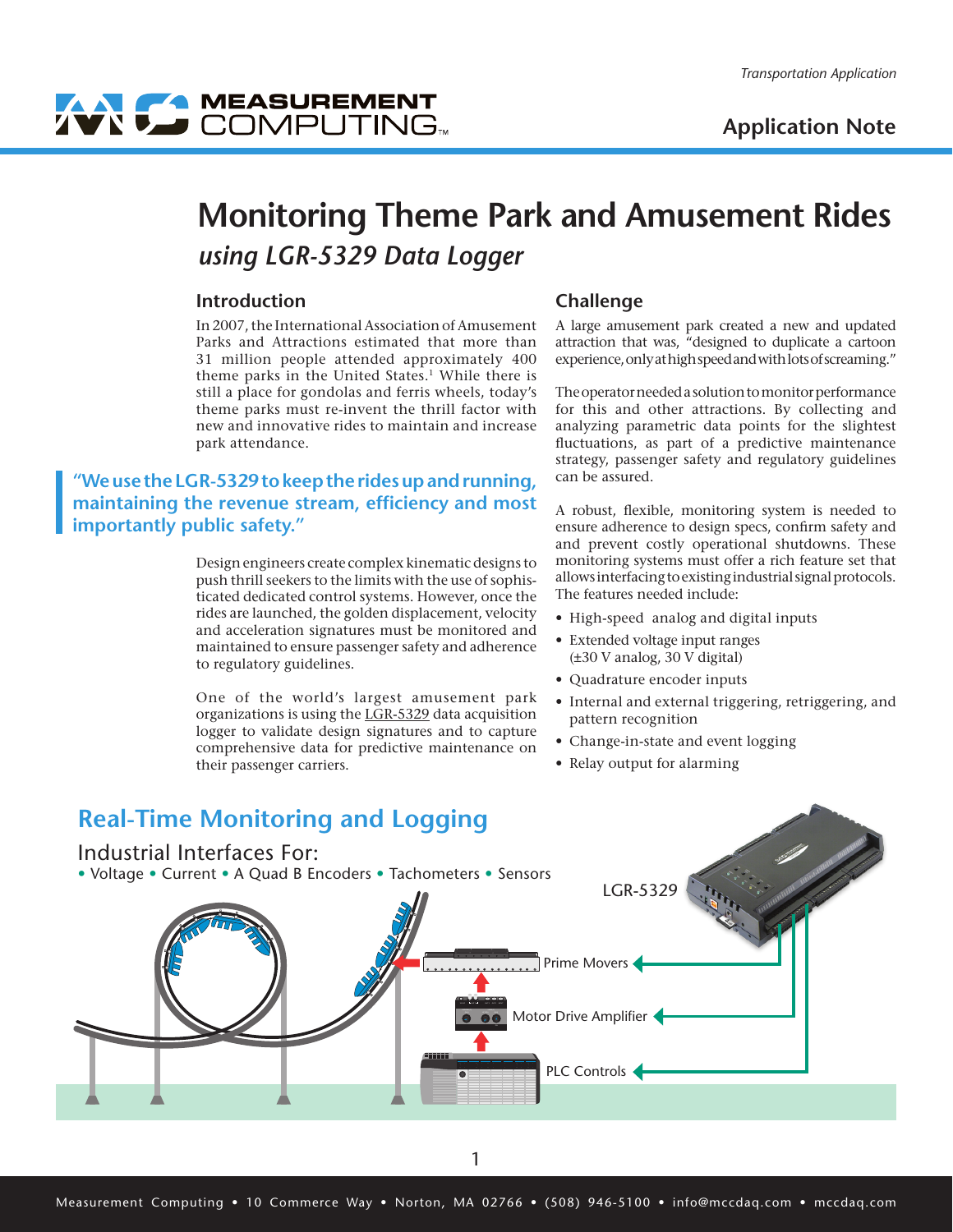

# WY COMPUTING

## **Monitoring Theme Park and Amusement Rides** *using LGR-5329 Data Logger*

#### **Introduction**

In 2007, the International Association of Amusement Parks and Attractions estimated that more than 31 million people attended approximately 400 theme parks in the United States.<sup>1</sup> While there is still a place for gondolas and ferris wheels, today's theme parks must re-invent the thrill factor with new and innovative rides to maintain and increase park attendance.

### **"We use the LGR-5329 to keep the rides up and running, maintaining the revenue stream, efficiency and most importantly public safety."**

Design engineers create complex kinematic designs to push thrill seekers to the limits with the use of sophisticated dedicated control systems. However, once the rides are launched, the golden displacement, velocity and acceleration signatures must be monitored and maintained to ensure passenger safety and adherence to regulatory guidelines.

One of the world's largest amusement park organizations is using the [LGR-5329](http://www.mccdaq.com/products/LGR-5320-Series.aspx) data acquisition logger to validate design signatures and to capture comprehensive data for predictive maintenance on their passenger carriers.

#### **Challenge**

A large amusement park created a new and updated attraction that was, "designed to duplicate a cartoon experience, only at high speed and with lots of screaming."

The operator needed a solution to monitor performance for this and other attractions. By collecting and analyzing parametric data points for the slightest fluctuations, as part of a predictive maintenance strategy, passenger safety and regulatory guidelines can be assured.

A robust, flexible, monitoring system is needed to ensure adherence to design specs, confirm safety and and prevent costly operational shutdowns. These monitoring systems must offer a rich feature set that allows interfacing to existing industrial signal protocols. The features needed include:

- High-speed analog and digital inputs
- Extended voltage input ranges (±30 V analog, 30 V digital)
- Quadrature encoder inputs
- Internal and external triggering, retriggering, and pattern recognition
- Change-in-state and event logging
- Relay output for alarming

### Prime Movers PLC Controls Motor Drive Amplifier **Real-Time Monitoring and Logging** [LGR-5329](http://www.mccdaq.com/products/LGR-5320-Series.aspx) Industrial Interfaces For: • Voltage • Current • A Quad B Encoders • Tachometers • Sensors 12V DC OUT 3 OUT 2 OUT 2 OUT  $\cdots$